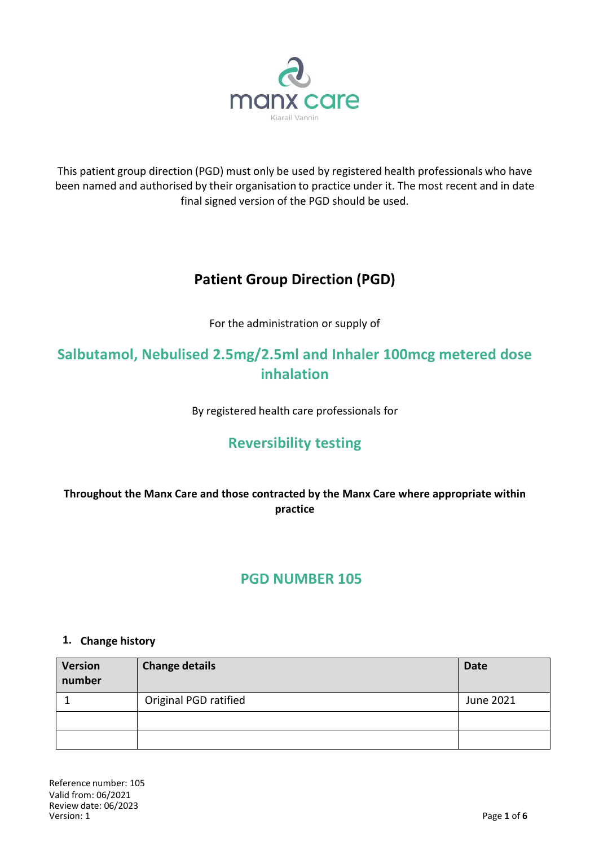

This patient group direction (PGD) must only be used by registered health professionals who have been named and authorised by their organisation to practice under it. The most recent and in date final signed version of the PGD should be used.

# **Patient Group Direction (PGD)**

For the administration or supply of

# **Salbutamol, Nebulised 2.5mg/2.5ml and Inhaler 100mcg metered dose inhalation**

By registered health care professionals for

# **Reversibility testing**

**Throughout the Manx Care and those contracted by the Manx Care where appropriate within practice**

# **PGD NUMBER 105**

### **1. Change history**

| <b>Version</b><br>number | <b>Change details</b> | <b>Date</b> |
|--------------------------|-----------------------|-------------|
|                          | Original PGD ratified | June 2021   |
|                          |                       |             |
|                          |                       |             |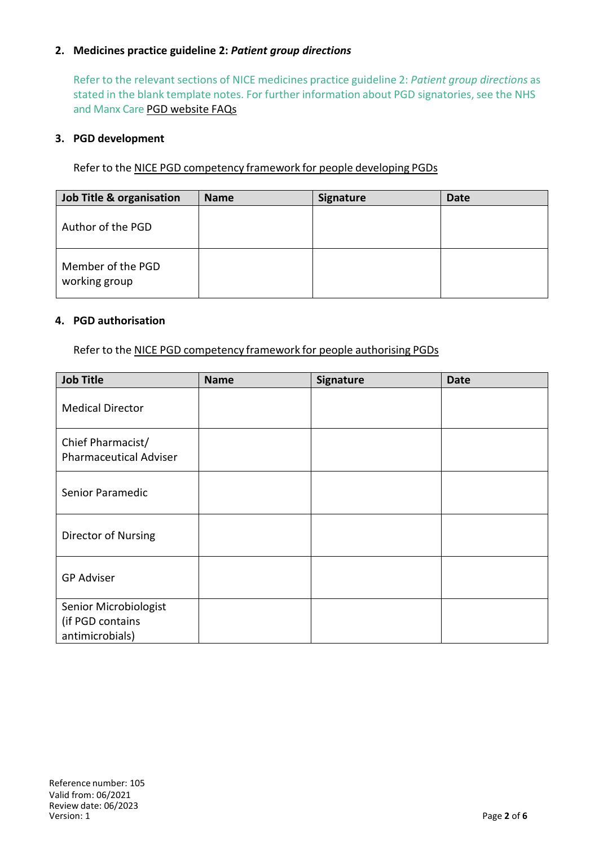### **2. Medicines practice guideline 2:** *Patient group directions*

Refer to the relevant sections of NICE medicines practice guideline 2: *Patient group directions* as stated in the blank template notes. For further information about PGD signatories, see the NHS and Manx Care PGD website FAQs

#### **3. PGD development**

Refer to the NICE PGD competency framework for people developing PGDs

| Job Title & organisation           | <b>Name</b> | Signature | Date |
|------------------------------------|-------------|-----------|------|
| Author of the PGD                  |             |           |      |
| Member of the PGD<br>working group |             |           |      |

#### **4. PGD authorisation**

Refer to the NICE PGD competency framework for people authorising PGDs

| <b>Job Title</b>                                             | <b>Name</b> | Signature | <b>Date</b> |
|--------------------------------------------------------------|-------------|-----------|-------------|
| <b>Medical Director</b>                                      |             |           |             |
| Chief Pharmacist/<br><b>Pharmaceutical Adviser</b>           |             |           |             |
| Senior Paramedic                                             |             |           |             |
| Director of Nursing                                          |             |           |             |
| <b>GP Adviser</b>                                            |             |           |             |
| Senior Microbiologist<br>(if PGD contains<br>antimicrobials) |             |           |             |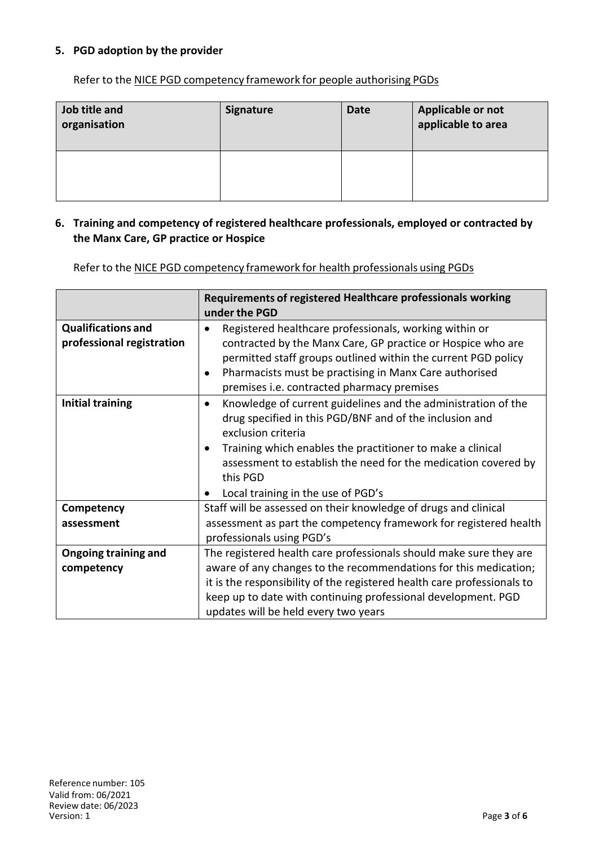### **5. PGD adoption by the provider**

Refer to the NICE PGD competency framework for people authorising PGDs

| Job title and<br>organisation | <b>Signature</b> | <b>Date</b> | Applicable or not<br>applicable to area |
|-------------------------------|------------------|-------------|-----------------------------------------|
|                               |                  |             |                                         |

#### **6. Training and competency of registered healthcare professionals, employed or contracted by the Manx Care, GP practice or Hospice**

Refer to the NICE PGD competency framework for health professionals using PGDs

|                                                        | Requirements of registered Healthcare professionals working<br>under the PGD                                                                                                                                                                                                                                                                  |
|--------------------------------------------------------|-----------------------------------------------------------------------------------------------------------------------------------------------------------------------------------------------------------------------------------------------------------------------------------------------------------------------------------------------|
| <b>Qualifications and</b><br>professional registration | Registered healthcare professionals, working within or<br>contracted by the Manx Care, GP practice or Hospice who are<br>permitted staff groups outlined within the current PGD policy<br>Pharmacists must be practising in Manx Care authorised<br>premises i.e. contracted pharmacy premises                                                |
| <b>Initial training</b>                                | Knowledge of current guidelines and the administration of the<br>$\bullet$<br>drug specified in this PGD/BNF and of the inclusion and<br>exclusion criteria<br>Training which enables the practitioner to make a clinical<br>assessment to establish the need for the medication covered by<br>this PGD<br>Local training in the use of PGD's |
| Competency                                             | Staff will be assessed on their knowledge of drugs and clinical                                                                                                                                                                                                                                                                               |
| assessment                                             | assessment as part the competency framework for registered health<br>professionals using PGD's                                                                                                                                                                                                                                                |
| <b>Ongoing training and</b>                            | The registered health care professionals should make sure they are                                                                                                                                                                                                                                                                            |
| competency                                             | aware of any changes to the recommendations for this medication;                                                                                                                                                                                                                                                                              |
|                                                        | it is the responsibility of the registered health care professionals to                                                                                                                                                                                                                                                                       |
|                                                        | keep up to date with continuing professional development. PGD                                                                                                                                                                                                                                                                                 |
|                                                        | updates will be held every two years                                                                                                                                                                                                                                                                                                          |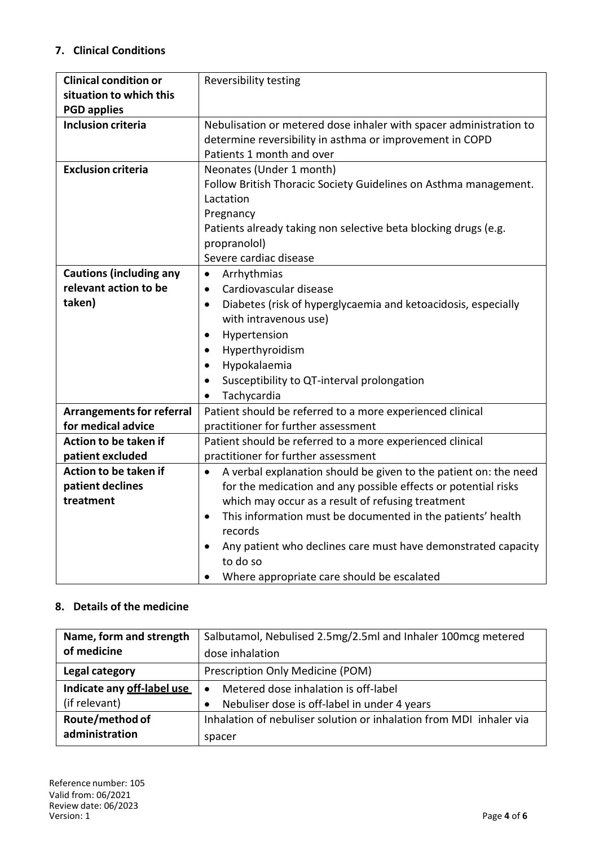## **7. Clinical Conditions**

| <b>Clinical condition or</b>     | <b>Reversibility testing</b>                                               |  |
|----------------------------------|----------------------------------------------------------------------------|--|
| situation to which this          |                                                                            |  |
| <b>PGD applies</b>               |                                                                            |  |
| <b>Inclusion criteria</b>        | Nebulisation or metered dose inhaler with spacer administration to         |  |
|                                  | determine reversibility in asthma or improvement in COPD                   |  |
|                                  | Patients 1 month and over                                                  |  |
| <b>Exclusion criteria</b>        | Neonates (Under 1 month)                                                   |  |
|                                  | Follow British Thoracic Society Guidelines on Asthma management.           |  |
|                                  | Lactation                                                                  |  |
|                                  | Pregnancy                                                                  |  |
|                                  | Patients already taking non selective beta blocking drugs (e.g.            |  |
|                                  | propranolol)                                                               |  |
|                                  | Severe cardiac disease                                                     |  |
| <b>Cautions (including any</b>   | Arrhythmias<br>$\bullet$                                                   |  |
| relevant action to be            | Cardiovascular disease<br>$\bullet$                                        |  |
| taken)                           | Diabetes (risk of hyperglycaemia and ketoacidosis, especially<br>$\bullet$ |  |
|                                  | with intravenous use)                                                      |  |
|                                  | Hypertension<br>$\bullet$                                                  |  |
|                                  | Hyperthyroidism<br>$\bullet$                                               |  |
|                                  | Hypokalaemia<br>٠                                                          |  |
|                                  | Susceptibility to QT-interval prolongation                                 |  |
|                                  | Tachycardia                                                                |  |
| <b>Arrangements for referral</b> | Patient should be referred to a more experienced clinical                  |  |
| for medical advice               | practitioner for further assessment                                        |  |
| Action to be taken if            | Patient should be referred to a more experienced clinical                  |  |
| patient excluded                 | practitioner for further assessment                                        |  |
| Action to be taken if            | A verbal explanation should be given to the patient on: the need<br>٠      |  |
| patient declines                 | for the medication and any possible effects or potential risks             |  |
| treatment                        | which may occur as a result of refusing treatment                          |  |
|                                  | This information must be documented in the patients' health<br>$\bullet$   |  |
|                                  | records                                                                    |  |
|                                  | Any patient who declines care must have demonstrated capacity              |  |
|                                  | to do so                                                                   |  |
|                                  | Where appropriate care should be escalated<br>$\bullet$                    |  |

## **8. Details of the medicine**

| Name, form and strength    | Salbutamol, Nebulised 2.5mg/2.5ml and Inhaler 100mcg metered        |  |
|----------------------------|---------------------------------------------------------------------|--|
| of medicine                | dose inhalation                                                     |  |
| Legal category             | Prescription Only Medicine (POM)                                    |  |
| Indicate any off-label use | Metered dose inhalation is off-label                                |  |
| (if relevant)              | Nebuliser dose is off-label in under 4 years                        |  |
| Route/method of            | Inhalation of nebuliser solution or inhalation from MDI inhaler via |  |
| administration             | spacer                                                              |  |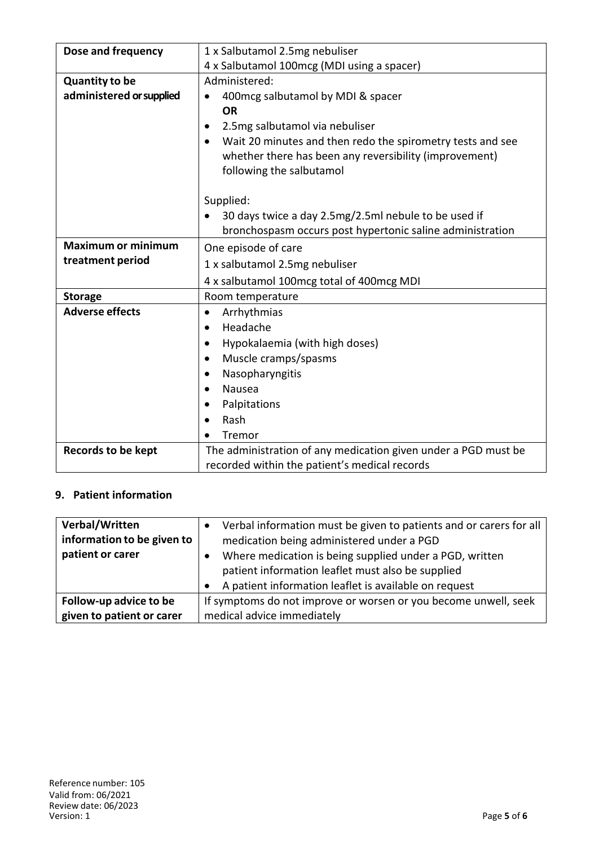| Dose and frequency        | 1 x Salbutamol 2.5mg nebuliser                                 |  |
|---------------------------|----------------------------------------------------------------|--|
|                           | 4 x Salbutamol 100mcg (MDI using a spacer)                     |  |
|                           |                                                                |  |
| <b>Quantity to be</b>     | Administered:                                                  |  |
| administered or supplied  | 400 mcg salbutamol by MDI & spacer                             |  |
|                           | <b>OR</b>                                                      |  |
|                           | 2.5mg salbutamol via nebuliser<br>$\bullet$                    |  |
|                           | Wait 20 minutes and then redo the spirometry tests and see     |  |
|                           | whether there has been any reversibility (improvement)         |  |
|                           | following the salbutamol                                       |  |
|                           |                                                                |  |
|                           | Supplied:                                                      |  |
|                           | 30 days twice a day 2.5mg/2.5ml nebule to be used if           |  |
|                           | bronchospasm occurs post hypertonic saline administration      |  |
| <b>Maximum or minimum</b> | One episode of care                                            |  |
| treatment period          | 1 x salbutamol 2.5mg nebuliser                                 |  |
|                           | 4 x salbutamol 100mcg total of 400mcg MDI                      |  |
| <b>Storage</b>            | Room temperature                                               |  |
| <b>Adverse effects</b>    | Arrhythmias<br>$\bullet$                                       |  |
|                           | Headache<br>$\bullet$                                          |  |
|                           | Hypokalaemia (with high doses)<br>$\bullet$                    |  |
|                           | Muscle cramps/spasms<br>$\bullet$                              |  |
|                           | Nasopharyngitis<br>$\bullet$                                   |  |
|                           | <b>Nausea</b><br>$\bullet$                                     |  |
|                           | Palpitations                                                   |  |
|                           | Rash<br>$\bullet$                                              |  |
|                           | Tremor                                                         |  |
| <b>Records to be kept</b> | The administration of any medication given under a PGD must be |  |
|                           | recorded within the patient's medical records                  |  |

### **9. Patient information**

| Verbal/Written<br>information to be given to<br>patient or carer | Verbal information must be given to patients and or carers for all<br>medication being administered under a PGD<br>Where medication is being supplied under a PGD, written<br>patient information leaflet must also be supplied<br>A patient information leaflet is available on request |  |
|------------------------------------------------------------------|------------------------------------------------------------------------------------------------------------------------------------------------------------------------------------------------------------------------------------------------------------------------------------------|--|
| Follow-up advice to be                                           | If symptoms do not improve or worsen or you become unwell, seek                                                                                                                                                                                                                          |  |
| given to patient or carer                                        | medical advice immediately                                                                                                                                                                                                                                                               |  |